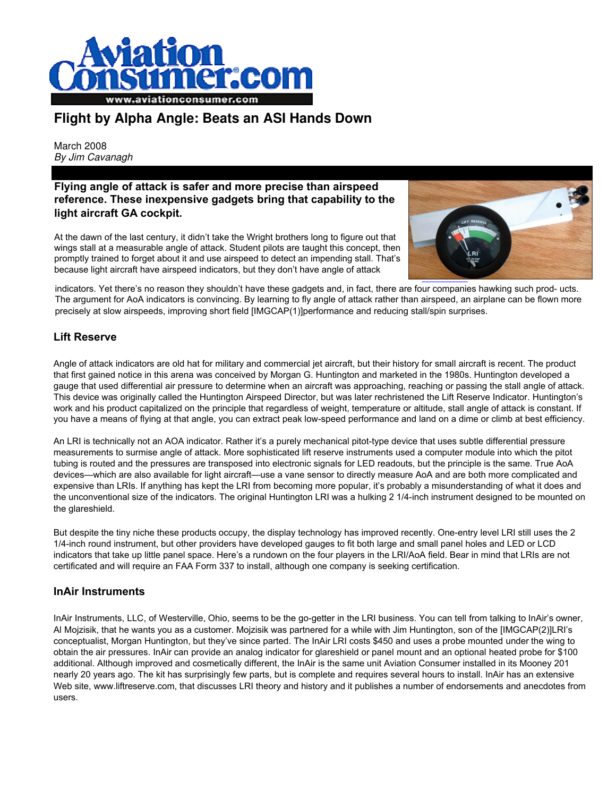

## **Flight by Alpha Angle: Beats an ASI Hands Down**

March 2008 By Jim Cavanagh

#### **Flying angle of attack is safer and more precise than airspeed reference. These inexpensive gadgets bring that capability to the light aircraft GA cockpit.**

At the dawn of the last century, it didn't take the Wright brothers long to figure out that wings stall at a measurable angle of attack. Student pilots are taught this concept, then promptly trained to forget about it and use airspeed to detect an impending stall. That's because light aircraft have airspeed indicators, but they don't have angle of attack



indicators. Yet there's no reason they shouldn't have these gadgets and, in fact, there are four companies hawking such prod- ucts. The argument for AoA indicators is convincing. By learning to fly angle of attack rather than airspeed, an airplane can be flown more precisely at slow airspeeds, improving short field [IMGCAP(1)]performance and reducing stall/spin surprises.

### **Lift Reserve**

Angle of attack indicators are old hat for military and commercial jet aircraft, but their history for small aircraft is recent. The product that first gained notice in this arena was conceived by Morgan G. Huntington and marketed in the 1980s. Huntington developed a gauge that used differential air pressure to determine when an aircraft was approaching, reaching or passing the stall angle of attack. This device was originally called the Huntington Airspeed Director, but was later rechristened the Lift Reserve Indicator. Huntington's work and his product capitalized on the principle that regardless of weight, temperature or altitude, stall angle of attack is constant. If you have a means of flying at that angle, you can extract peak low-speed performance and land on a dime or climb at best efficiency.

An LRI is technically not an AOA indicator. Rather it's a purely mechanical pitot-type device that uses subtle differential pressure measurements to surmise angle of attack. More sophisticated lift reserve instruments used a computer module into which the pitot tubing is routed and the pressures are transposed into electronic signals for LED readouts, but the principle is the same. True AoA devices—which are also available for light aircraft—use a vane sensor to directly measure AoA and are both more complicated and expensive than LRIs. If anything has kept the LRI from becoming more popular, it's probably a misunderstanding of what it does and the unconventional size of the indicators. The original Huntington LRI was a hulking 2 1/4-inch instrument designed to be mounted on the glareshield.

But despite the tiny niche these products occupy, the display technology has improved recently. One-entry level LRI still uses the 2 1/4-inch round instrument, but other providers have developed gauges to fit both large and small panel holes and LED or LCD indicators that take up little panel space. Here's a rundown on the four players in the LRI/AoA field. Bear in mind that LRIs are not certificated and will require an FAA Form 337 to install, although one company is seeking certification.

### **InAir Instruments**

InAir Instruments, LLC, of Westerville, Ohio, seems to be the go-getter in the LRI business. You can tell from talking to InAir's owner, Al Mojzisik, that he wants you as a customer. Mojzisik was partnered for a while with Jim Huntington, son of the [IMGCAP(2)]LRI's conceptualist, Morgan Huntington, but they've since parted. The InAir LRI costs \$450 and uses a probe mounted under the wing to obtain the air pressures. InAir can provide an analog indicator for glareshield or panel mount and an optional heated probe for \$100 additional. Although improved and cosmetically different, the InAir is the same unit Aviation Consumer installed in its Mooney 201 nearly 20 years ago. The kit has surprisingly few parts, but is complete and requires several hours to install. InAir has an extensive Web site, www.liftreserve.com, that discusses LRI theory and history and it publishes a number of endorsements and anecdotes from users.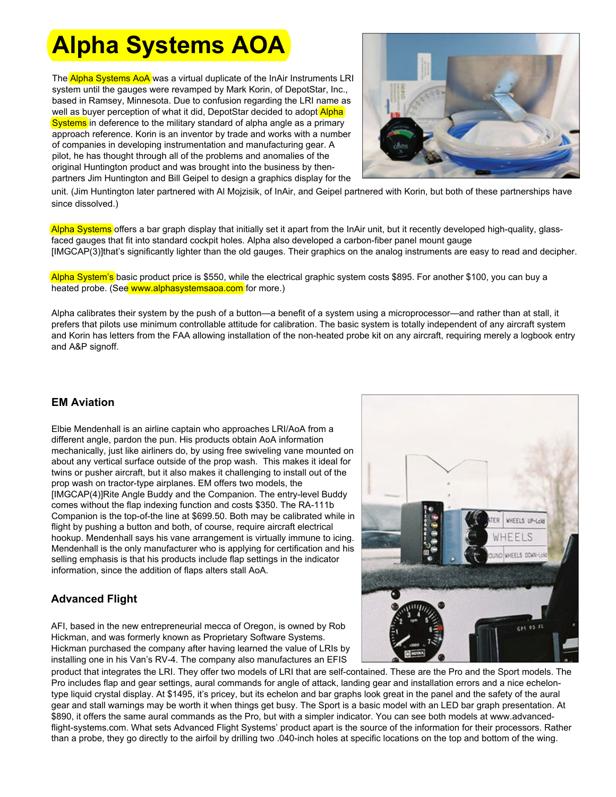# **Alpha Systems AOA**

The Alpha Systems AoA was a virtual duplicate of the InAir Instruments LRI system until the gauges were revamped by Mark Korin, of DepotStar, Inc., based in Ramsey, Minnesota. Due to confusion regarding the LRI name as well as buyer perception of what it did, DepotStar decided to adopt Alpha Systems in deference to the military standard of alpha angle as a primary approach reference. Korin is an inventor by trade and works with a number of companies in developing instrumentation and manufacturing gear. A pilot, he has thought through all of the problems and anomalies of the original Huntington product and was brought into the business by thenpartners Jim Huntington and Bill Geipel to design a graphics display for the



unit. (Jim Huntington later partnered with Al Mojzisik, of InAir, and Geipel partnered with Korin, but both of these partnerships have since dissolved.)

Alpha Systems offers a bar graph display that initially set it apart from the InAir unit, but it recently developed high-quality, glassfaced gauges that fit into standard cockpit holes. Alpha also developed a carbon-fiber panel mount gauge [IMGCAP(3)]that's significantly lighter than the old gauges. Their graphics on the analog instruments are easy to read and decipher.

Alpha System's basic product price is \$550, while the electrical graphic system costs \$895. For another \$100, you can buy a heated probe. (See www.alphasystemsaoa.com for more.)

Alpha calibrates their system by the push of a button—a benefit of a system using a microprocessor—and rather than at stall, it prefers that pilots use minimum controllable attitude for calibration. The basic system is totally independent of any aircraft system and Korin has letters from the FAA allowing installation of the non-heated probe kit on any aircraft, requiring merely a logbook entry and A&P signoff.

### **EM Aviation**

Elbie Mendenhall is an airline captain who approaches LRI/AoA from a different angle, pardon the pun. His products obtain AoA information mechanically, just like airliners do, by using free swiveling vane mounted on about any vertical surface outside of the prop wash. This makes it ideal for twins or pusher aircraft, but it also makes it challenging to install out of the prop wash on tractor-type airplanes. EM offers two models, the [IMGCAP(4)]Rite Angle Buddy and the Companion. The entry-level Buddy comes without the flap indexing function and costs \$350. The RA-111b Companion is the top-of-the line at \$699.50. Both may be calibrated while in flight by pushing a button and both, of course, require aircraft electrical hookup. Mendenhall says his vane arrangement is virtually immune to icing. Mendenhall is the only manufacturer who is applying for certification and his selling emphasis is that his products include flap settings in the indicator information, since the addition of flaps alters stall AoA.

### **Advanced Flight**

AFI, based in the new entrepreneurial mecca of Oregon, is owned by Rob Hickman, and was formerly known as Proprietary Software Systems. Hickman purchased the company after having learned the value of LRIs by installing one in his Van's RV-4. The company also manufactures an EFIS



product that integrates the LRI. They offer two models of LRI that are self-contained. These are the Pro and the Sport models. The Pro includes flap and gear settings, aural commands for angle of attack, landing gear and installation errors and a nice echelontype liquid crystal display. At \$1495, it's pricey, but its echelon and bar graphs look great in the panel and the safety of the aural gear and stall warnings may be worth it when things get busy. The Sport is a basic model with an LED bar graph presentation. At \$890, it offers the same aural commands as the Pro, but with a simpler indicator. You can see both models at www.advancedflight-systems.com. What sets Advanced Flight Systems' product apart is the source of the information for their processors. Rather than a probe, they go directly to the airfoil by drilling two .040-inch holes at specific locations on the top and bottom of the wing.